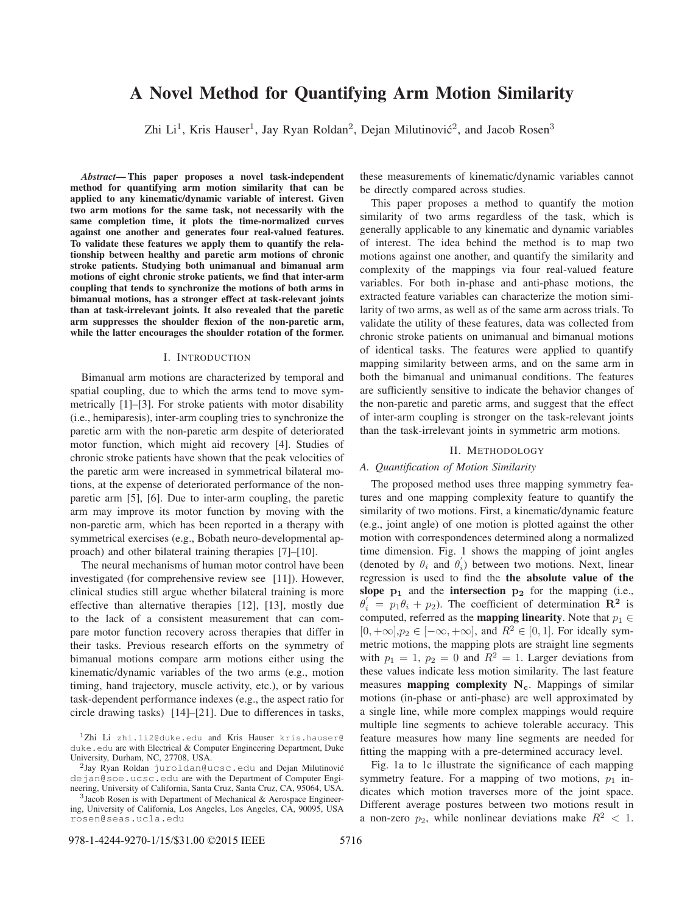# A Novel Method for Quantifying Arm Motion Similarity

Zhi  $Li<sup>1</sup>$ , Kris Hauser<sup>1</sup>, Jay Ryan Roldan<sup>2</sup>, Dejan Milutinović<sup>2</sup>, and Jacob Rosen<sup>3</sup>

*Abstract*— This paper proposes a novel task-independent method for quantifying arm motion similarity that can be applied to any kinematic/dynamic variable of interest. Given two arm motions for the same task, not necessarily with the same completion time, it plots the time-normalized curves against one another and generates four real-valued features. To validate these features we apply them to quantify the relationship between healthy and paretic arm motions of chronic stroke patients. Studying both unimanual and bimanual arm motions of eight chronic stroke patients, we find that inter-arm coupling that tends to synchronize the motions of both arms in bimanual motions, has a stronger effect at task-relevant joints than at task-irrelevant joints. It also revealed that the paretic arm suppresses the shoulder flexion of the non-paretic arm, while the latter encourages the shoulder rotation of the former.

# I. INTRODUCTION

Bimanual arm motions are characterized by temporal and spatial coupling, due to which the arms tend to move symmetrically [1]–[3]. For stroke patients with motor disability (i.e., hemiparesis), inter-arm coupling tries to synchronize the paretic arm with the non-paretic arm despite of deteriorated motor function, which might aid recovery [4]. Studies of chronic stroke patients have shown that the peak velocities of the paretic arm were increased in symmetrical bilateral motions, at the expense of deteriorated performance of the nonparetic arm [5], [6]. Due to inter-arm coupling, the paretic arm may improve its motor function by moving with the non-paretic arm, which has been reported in a therapy with symmetrical exercises (e.g., Bobath neuro-developmental approach) and other bilateral training therapies [7]–[10].

The neural mechanisms of human motor control have been investigated (for comprehensive review see [11]). However, clinical studies still argue whether bilateral training is more effective than alternative therapies [12], [13], mostly due to the lack of a consistent measurement that can compare motor function recovery across therapies that differ in their tasks. Previous research efforts on the symmetry of bimanual motions compare arm motions either using the kinematic/dynamic variables of the two arms (e.g., motion timing, hand trajectory, muscle activity, etc.), or by various task-dependent performance indexes (e.g., the aspect ratio for circle drawing tasks) [14]–[21]. Due to differences in tasks,

<sup>2</sup>Jay Ryan Roldan juroldan@ucsc.edu and Dejan Milutinović dejan@soe.ucsc.edu are with the Department of Computer Engineering, University of California, Santa Cruz, Santa Cruz, CA, 95064, USA.

these measurements of kinematic/dynamic variables cannot be directly compared across studies.

This paper proposes a method to quantify the motion similarity of two arms regardless of the task, which is generally applicable to any kinematic and dynamic variables of interest. The idea behind the method is to map two motions against one another, and quantify the similarity and complexity of the mappings via four real-valued feature variables. For both in-phase and anti-phase motions, the extracted feature variables can characterize the motion similarity of two arms, as well as of the same arm across trials. To validate the utility of these features, data was collected from chronic stroke patients on unimanual and bimanual motions of identical tasks. The features were applied to quantify mapping similarity between arms, and on the same arm in both the bimanual and unimanual conditions. The features are sufficiently sensitive to indicate the behavior changes of the non-paretic and paretic arms, and suggest that the effect of inter-arm coupling is stronger on the task-relevant joints than the task-irrelevant joints in symmetric arm motions.

# II. METHODOLOGY

## *A. Quantification of Motion Similarity*

The proposed method uses three mapping symmetry features and one mapping complexity feature to quantify the similarity of two motions. First, a kinematic/dynamic feature (e.g., joint angle) of one motion is plotted against the other motion with correspondences determined along a normalized time dimension. Fig. 1 shows the mapping of joint angles (denoted by  $\theta_i$  and  $\theta'_i$ ) between two motions. Next, linear regression is used to find the the absolute value of the slope  $p_1$  and the intersection  $p_2$  for the mapping (i.e.,  $\theta'_i = p_1 \theta_i + p_2$ ). The coefficient of determination **R**<sup>2</sup> is computed, referred as the **mapping linearity**. Note that  $p_1 \in$  $[0, +\infty], p_2 \in [-\infty, +\infty]$ , and  $R^2 \in [0, 1]$ . For ideally symmetric motions, the mapping plots are straight line segments with  $p_1 = 1$ ,  $p_2 = 0$  and  $R^2 = 1$ . Larger deviations from these values indicate less motion similarity. The last feature measures mapping complexity **Nc**. Mappings of similar motions (in-phase or anti-phase) are well approximated by a single line, while more complex mappings would require multiple line segments to achieve tolerable accuracy. This feature measures how many line segments are needed for fitting the mapping with a pre-determined accuracy level.

Fig. 1a to 1c illustrate the significance of each mapping symmetry feature. For a mapping of two motions,  $p_1$  indicates which motion traverses more of the joint space. Different average postures between two motions result in a non-zero  $p_2$ , while nonlinear deviations make  $R^2 < 1$ .

<sup>&</sup>lt;sup>1</sup>Zhi Li zhi.li2@duke.edu and Kris Hauser kris.hauser@ duke.edu are with Electrical & Computer Engineering Department, Duke University, Durham, NC, 27708, USA.

 $3$ Jacob Rosen is with Department of Mechanical & Aerospace Engineering, University of California, Los Angeles, Los Angeles, CA, 90095, USA rosen@seas.ucla.edu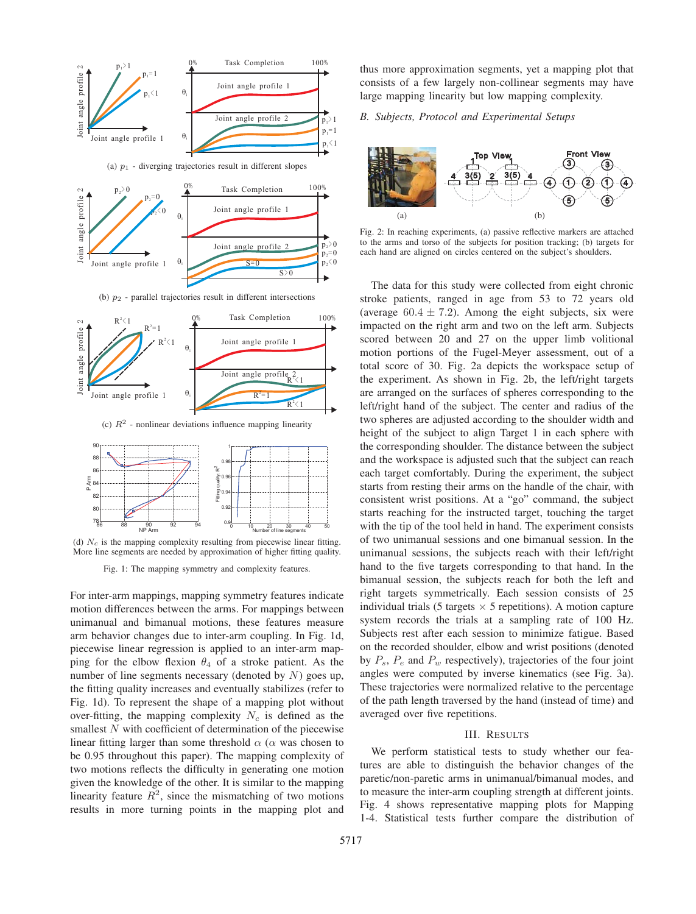

(d)  $N_c$  is the mapping complexity resulting from piecewise linear fitting. More line segments are needed by approximation of higher fitting quality.

Fig. 1: The mapping symmetry and complexity features.

For inter-arm mappings, mapping symmetry features indicate motion differences between the arms. For mappings between unimanual and bimanual motions, these features measure arm behavior changes due to inter-arm coupling. In Fig. 1d, piecewise linear regression is applied to an inter-arm mapping for the elbow flexion  $\theta_4$  of a stroke patient. As the number of line segments necessary (denoted by  $N$ ) goes up, the fitting quality increases and eventually stabilizes (refer to Fig. 1d). To represent the shape of a mapping plot without over-fitting, the mapping complexity  $N_c$  is defined as the smallest N with coefficient of determination of the piecewise linear fitting larger than some threshold  $\alpha$  ( $\alpha$  was chosen to be 0.95 throughout this paper). The mapping complexity of two motions reflects the difficulty in generating one motion given the knowledge of the other. It is similar to the mapping linearity feature  $R^2$ , since the mismatching of two motions results in more turning points in the mapping plot and

thus more approximation segments, yet a mapping plot that consists of a few largely non-collinear segments may have large mapping linearity but low mapping complexity.

# *B. Subjects, Protocol and Experimental Setups*



Fig. 2: In reaching experiments, (a) passive reflective markers are attached to the arms and torso of the subjects for position tracking; (b) targets for each hand are aligned on circles centered on the subject's shoulders.

The data for this study were collected from eight chronic stroke patients, ranged in age from 53 to 72 years old (average  $60.4 \pm 7.2$ ). Among the eight subjects, six were impacted on the right arm and two on the left arm. Subjects scored between 20 and 27 on the upper limb volitional motion portions of the Fugel-Meyer assessment, out of a total score of 30. Fig. 2a depicts the workspace setup of the experiment. As shown in Fig. 2b, the left/right targets are arranged on the surfaces of spheres corresponding to the left/right hand of the subject. The center and radius of the two spheres are adjusted according to the shoulder width and height of the subject to align Target 1 in each sphere with the corresponding shoulder. The distance between the subject and the workspace is adjusted such that the subject can reach each target comfortably. During the experiment, the subject starts from resting their arms on the handle of the chair, with consistent wrist positions. At a "go" command, the subject starts reaching for the instructed target, touching the target with the tip of the tool held in hand. The experiment consists of two unimanual sessions and one bimanual session. In the unimanual sessions, the subjects reach with their left/right hand to the five targets corresponding to that hand. In the bimanual session, the subjects reach for both the left and right targets symmetrically. Each session consists of 25 individual trials (5 targets  $\times$  5 repetitions). A motion capture system records the trials at a sampling rate of 100 Hz. Subjects rest after each session to minimize fatigue. Based on the recorded shoulder, elbow and wrist positions (denoted by  $P_s$ ,  $P_e$  and  $P_w$  respectively), trajectories of the four joint angles were computed by inverse kinematics (see Fig. 3a). These trajectories were normalized relative to the percentage of the path length traversed by the hand (instead of time) and averaged over five repetitions.

# III. RESULTS

We perform statistical tests to study whether our features are able to distinguish the behavior changes of the paretic/non-paretic arms in unimanual/bimanual modes, and to measure the inter-arm coupling strength at different joints. Fig. 4 shows representative mapping plots for Mapping 1-4. Statistical tests further compare the distribution of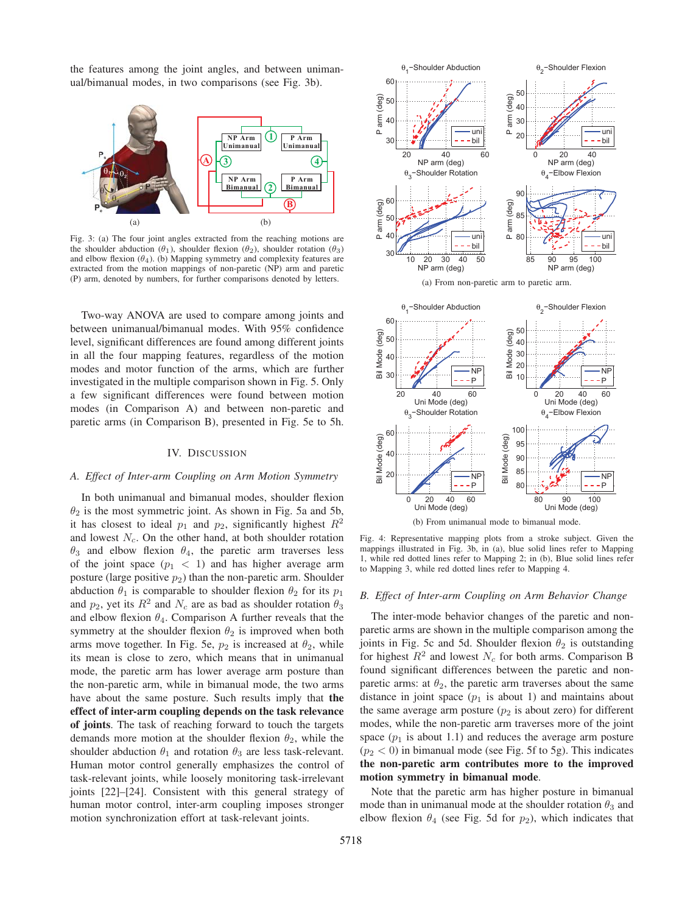the features among the joint angles, and between unimanual/bimanual modes, in two comparisons (see Fig. 3b).



Fig. 3: (a) The four joint angles extracted from the reaching motions are the shoulder abduction ( $\theta_1$ ), shoulder flexion ( $\theta_2$ ), shoulder rotation ( $\theta_3$ ) and elbow flexion  $(\theta_4)$ . (b) Mapping symmetry and complexity features are extracted from the motion mappings of non-paretic (NP) arm and paretic (P) arm, denoted by numbers, for further comparisons denoted by letters.

Two-way ANOVA are used to compare among joints and between unimanual/bimanual modes. With 95% confidence level, significant differences are found among different joints in all the four mapping features, regardless of the motion modes and motor function of the arms, which are further investigated in the multiple comparison shown in Fig. 5. Only a few significant differences were found between motion modes (in Comparison A) and between non-paretic and paretic arms (in Comparison B), presented in Fig. 5e to 5h.

## IV. DISCUSSION

# *A. Effect of Inter-arm Coupling on Arm Motion Symmetry*

In both unimanual and bimanual modes, shoulder flexion  $\theta_2$  is the most symmetric joint. As shown in Fig. 5a and 5b, it has closest to ideal  $p_1$  and  $p_2$ , significantly highest  $R^2$ and lowest  $N_c$ . On the other hand, at both shoulder rotation  $\theta_3$  and elbow flexion  $\theta_4$ , the paretic arm traverses less of the joint space  $(p_1 < 1)$  and has higher average arm posture (large positive  $p_2$ ) than the non-paretic arm. Shoulder abduction  $\theta_1$  is comparable to shoulder flexion  $\theta_2$  for its  $p_1$ and  $p_2$ , yet its  $R^2$  and  $N_c$  are as bad as shoulder rotation  $\theta_3$ and elbow flexion  $\theta_4$ . Comparison A further reveals that the symmetry at the shoulder flexion  $\theta_2$  is improved when both arms move together. In Fig. 5e,  $p_2$  is increased at  $\theta_2$ , while its mean is close to zero, which means that in unimanual mode, the paretic arm has lower average arm posture than the non-paretic arm, while in bimanual mode, the two arms have about the same posture. Such results imply that the effect of inter-arm coupling depends on the task relevance of joints. The task of reaching forward to touch the targets demands more motion at the shoulder flexion  $\theta_2$ , while the shoulder abduction  $\theta_1$  and rotation  $\theta_3$  are less task-relevant. Human motor control generally emphasizes the control of task-relevant joints, while loosely monitoring task-irrelevant joints [22]–[24]. Consistent with this general strategy of human motor control, inter-arm coupling imposes stronger motion synchronization effort at task-relevant joints.



(a) From non-paretic arm to paretic arm.



Fig. 4: Representative mapping plots from a stroke subject. Given the mappings illustrated in Fig. 3b, in (a), blue solid lines refer to Mapping 1, while red dotted lines refer to Mapping 2; in (b), Blue solid lines refer to Mapping 3, while red dotted lines refer to Mapping 4.

#### *B. Effect of Inter-arm Coupling on Arm Behavior Change*

The inter-mode behavior changes of the paretic and nonparetic arms are shown in the multiple comparison among the joints in Fig. 5c and 5d. Shoulder flexion  $\theta_2$  is outstanding for highest  $R^2$  and lowest  $N_c$  for both arms. Comparison B found significant differences between the paretic and nonparetic arms: at  $\theta_2$ , the paretic arm traverses about the same distance in joint space  $(p_1$  is about 1) and maintains about the same average arm posture  $(p_2$  is about zero) for different modes, while the non-paretic arm traverses more of the joint space  $(p_1$  is about 1.1) and reduces the average arm posture  $(p_2 < 0)$  in bimanual mode (see Fig. 5f to 5g). This indicates the non-paretic arm contributes more to the improved motion symmetry in bimanual mode.

Note that the paretic arm has higher posture in bimanual mode than in unimanual mode at the shoulder rotation  $\theta_3$  and elbow flexion  $\theta_4$  (see Fig. 5d for  $p_2$ ), which indicates that